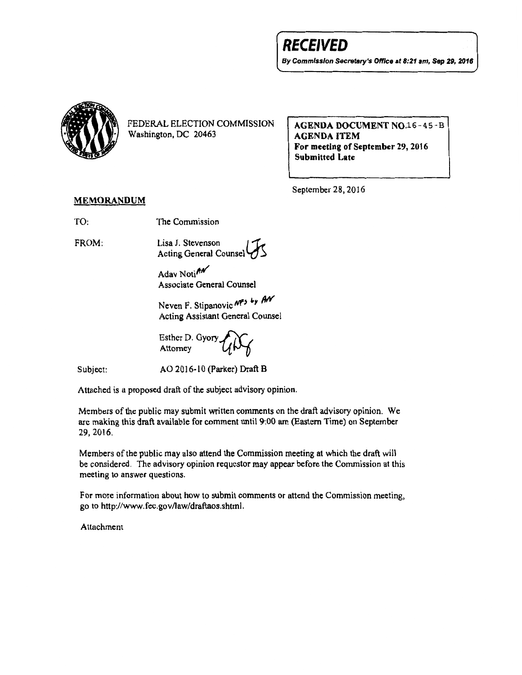## **RECEIVED**

*By* Commission Secretary's Office at *8:21* am, Sep 29, *2016* 



FEDERAL ELECTION COMMISSION Washington, DC 20463

AGENDA DOCUMENT NO.16-45-B AGENDA ITEM For meeting of September 29, 2016 Submitted Late

September 28,2016

## MEMORANDUM

TO: The Commission

FROM: Lisa J. Stevenson Acting General Counsel

> Adav Notin Associate General Counsel

Neven F. Stipanovic NP<sub>5</sub> by AN Acting Assistant General Counsel

Esther D. Gyory Attorney

Subject:

AO 2016-10 (Parker) Draft B

Attached is a proposed draft of the subject advisory opinion.

Members of the public may submit written comments on the draft advisory opinion. We are making this draft available for comment unti19:00 am (Eastern Time) on September 29,2016.

Members of the public may also attend the Commission meeting at which the draft will be considered. The advisory opinion requestor may appear before the Commission at this meeting to answer questions.

For more information about how to submit comments or attend the Commission meeting, go to http://www.fec.gov/law/draftaos.shtml.

Attachment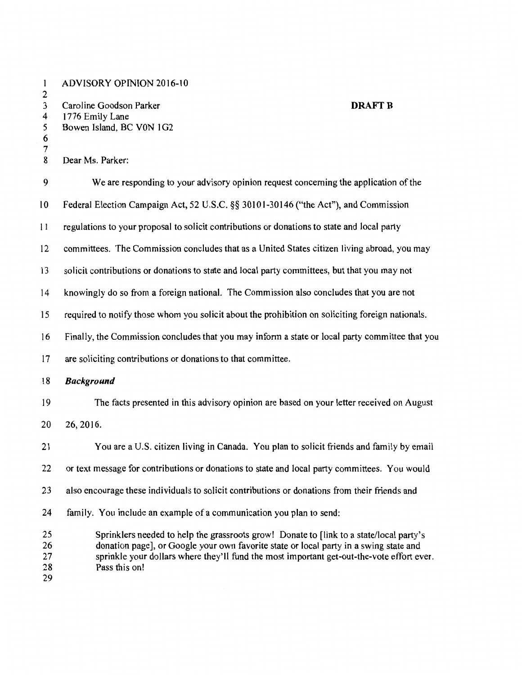1 ADVISORY OPINION 2016-10  $\frac{2}{3}$ 3 Caroline Goodson Parker **DRAFTB**  4 1776 Emily Lane<br>5 Bowen Island, BC Bowen Island, BC V0N 1G2 6  $\begin{array}{c} 7 \\ 8 \end{array}$ Dear Ms. Parker: 9 We are responding to your advisory opinion request concerning the application of the 10 Federal Election Campaign Act, 52 U.S.C. §§ 30101-30146 ("the Act"), and Commission 11 regulations to your proposal to solicit contributions or donations to state and local party 12 committees. The Commission concludes that as a United States citizen living abroad, you may 13 solicit contributions or donations to state and local party committees, but that you may not 14 knowingly do so from a foreign national. The Commission also concludes that you are not 15 required to notify those whom you solicit about the prohibition on soliciting foreign nationals. 16 Finally, the Commission concludes that you may inform a state or local party committee that you 17 are soliciting contributions or donations to that committee. 18 *Background*  19 The facts presented in this advisory opinion are based on your letter received on August 20 26,2016. 21 You are a U.S. citizen living in Canada. You plan to solicit friends and family by email 22 or text message for contributions or donations to state and local party committees. You would 23 also encourage these individuals to solicit contributions or donations from their friends and 24 family. You include an example of a communication you plan to send: 25 Sprinklers needed to help the grassroots grow! Donate to [link to a state/local party's 26 donation page], or Google your own favorite state or local party in a swing state and 27 sprinkle your dollars where they'll fund the most important get-out-the-vote effort ever. 28 Pass this on! 29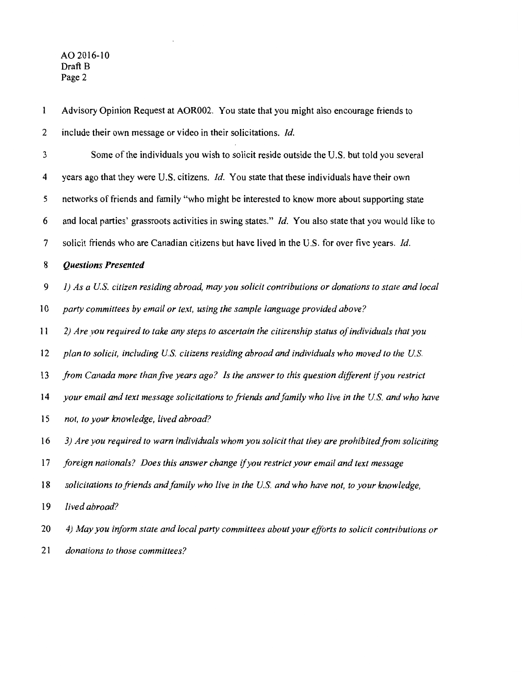| $\mathbf{1}$ | Advisory Opinion Request at AOR002. You state that you might also encourage friends to               |
|--------------|------------------------------------------------------------------------------------------------------|
| 2            | include their own message or video in their solicitations. Id.                                       |
| 3            | Some of the individuals you wish to solicit reside outside the U.S. but told you several             |
| 4            | years ago that they were U.S. citizens. Id. You state that these individuals have their own          |
| 5            | networks of friends and family "who might be interested to know more about supporting state          |
| 6            | and local parties' grassroots activities in swing states." Id. You also state that you would like to |
| 7            | solicit friends who are Canadian citizens but have lived in the U.S. for over five years. Id.        |
| 8            | <b>Questions Presented</b>                                                                           |
| 9            | 1) As a U.S. citizen residing abroad, may you solicit contributions or donations to state and local  |
| 10           | party committees by email or text, using the sample language provided above?                         |
| 11           | 2) Are you required to take any steps to ascertain the citizenship status of individuals that you    |
| 12           | plan to solicit, including U.S. citizens residing abroad and individuals who moved to the U.S.       |
| 13           | from Canada more than five years ago? Is the answer to this question different if you restrict       |
| 14           | your email and text message solicitations to friends and family who live in the U.S. and who have    |
| 15           | not, to your knowledge, lived abroad?                                                                |
| 16           | 3) Are you required to warn individuals whom you solicit that they are prohibited from soliciting    |
| 17           | foreign nationals? Does this answer change if you restrict your email and text message               |
| 18           | solicitations to friends and family who live in the U.S. and who have not, to your knowledge,        |
| 19           | lived abroad?                                                                                        |
| 20           | 4) May you inform state and local party committees about your efforts to solicit contributions or    |
| 21           | donations to those committees?                                                                       |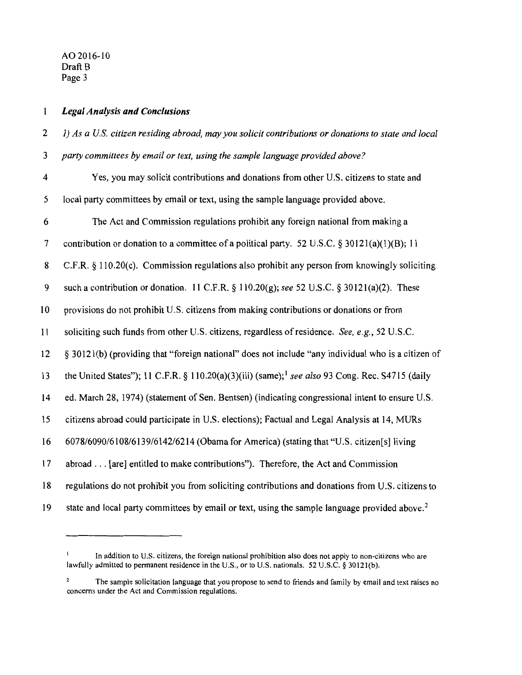## *Legal Analysis and Conclusions*   $\mathbf{1}$

| $\mathbf{2}$             | 1) As a U.S. citizen residing abroad, may you solicit contributions or donations to state and local         |
|--------------------------|-------------------------------------------------------------------------------------------------------------|
| 3                        | party committees by email or text, using the sample language provided above?                                |
| 4                        | Yes, you may solicit contributions and donations from other U.S. citizens to state and                      |
| 5                        | local party committees by email or text, using the sample language provided above.                          |
| 6                        | The Act and Commission regulations prohibit any foreign national from making a                              |
| $\overline{\mathcal{L}}$ | contribution or donation to a committee of a political party. 52 U.S.C. $\S 30121(a)(1)(B)$ ; 11            |
| 8                        | C.F.R. § 110.20(c). Commission regulations also prohibit any person from knowingly soliciting               |
| 9                        | such a contribution or donation. 11 C.F.R. $\S 110.20(g)$ ; see 52 U.S.C. $\S 30121(a)(2)$ . These          |
| 10                       | provisions do not prohibit U.S. citizens from making contributions or donations or from                     |
| 11                       | soliciting such funds from other U.S. citizens, regardless of residence. See, e.g., 52 U.S.C.               |
| 12                       | § 30121(b) (providing that "foreign national" does not include "any individual who is a citizen of          |
| 13                       | the United States"); 11 C.F.R. § 110.20(a)(3)(iii) (same); <sup>1</sup> see also 93 Cong. Rec. S4715 (daily |
| 14                       | ed. March 28, 1974) (statement of Sen. Bentsen) (indicating congressional intent to ensure U.S.             |
| 15                       | citizens abroad could participate in U.S. elections); Factual and Legal Analysis at 14, MURs                |
| 16                       | 6078/6090/6108/6139/6142/6214 (Obama for America) (stating that "U.S. citizen[s] living                     |
| 17                       | abroad [are] entitled to make contributions"). Therefore, the Act and Commission                            |
| 18                       | regulations do not prohibit you from soliciting contributions and donations from U.S. citizens to           |
| 19                       | state and local party committees by email or text, using the sample language provided above. <sup>2</sup>   |

 $\mathbf{l}$ In addition to U.S. citizens, the foreign national prohibition also does not apply to non-citizens who are lawfully admitted to permanent residence in the U.S., or to U.S. nationals. 52 U.S.C. § 30121(b).

 $\mathbf 2$ The sample solicitation language that you propose to send to friends and family by email and text raises no concerns under the Act and Commission regulations.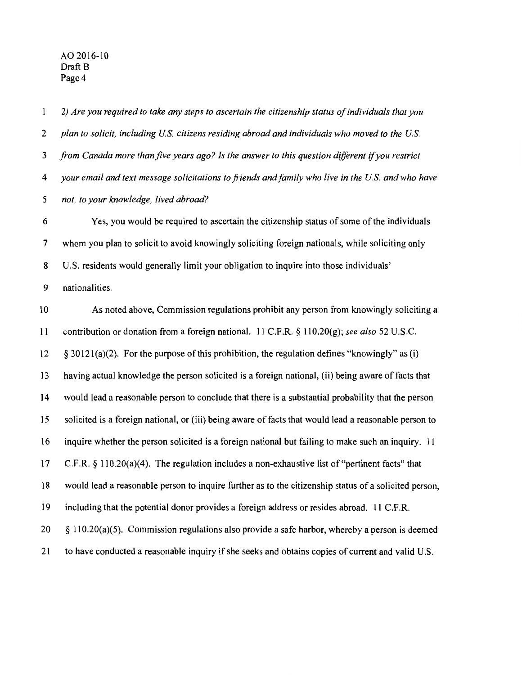$\mathbf{1}$ *2) Are you required to take any steps to ascertain the citizenship status of individuals that you plan to solicit, including US. citizens residing abroad and individuals who moved to the US. from Canada more thanfive years ago? Is the answer to this question different* if *you restrict your email and text message solicitations to friends and family who live in the US. and who have not, to your knowledge, lived abroad?* 

6 Yes, you would be required to ascertain the citizenship status of some of the individuals 7 whom you plan to solicit to avoid knowingly soliciting foreign nationals, while soliciting only 8 U.S. residents would generally limit your obligation to inquire into those individuals' 9 nationalities.

10 As noted above, Commission regulations prohibit any person from knowingly soliciting a 11 contribution or donation from a foreign national. 11 C.F.R. § 110.20(g); *see also* 52 U.S.C.  $12 \quad$  § 30121(a)(2). For the purpose of this prohibition, the regulation defines "knowingly" as (i) 13 having actual knowledge the person solicited is a foreign national, (ii) being aware of facts that 14 would lead a reasonable person to conclude that there is a substantial probability that the person 15 solicited is a foreign national, or (iii) being aware of facts that would lead a reasonable person to 16 inquire whether the person solicited is a foreign national but failing to make such an inquiry. 11 17 C.F.R. § 110.20(a)(4). The regulation includes a non-exhaustive list of"pertinent facts" that 18 would lead a reasonable person to inquire further as to the citizenship status of a solicited person, 19 including that the potential donor provides a foreign address or resides abroad. 11 C.F .R.  $20 \leq \frac{110.20(a)(5)}{20}$ . Commission regulations also provide a safe harbor, whereby a person is deemed 21 to have conducted a reasonable inquiry if she seeks and obtains copies of current and valid U.S.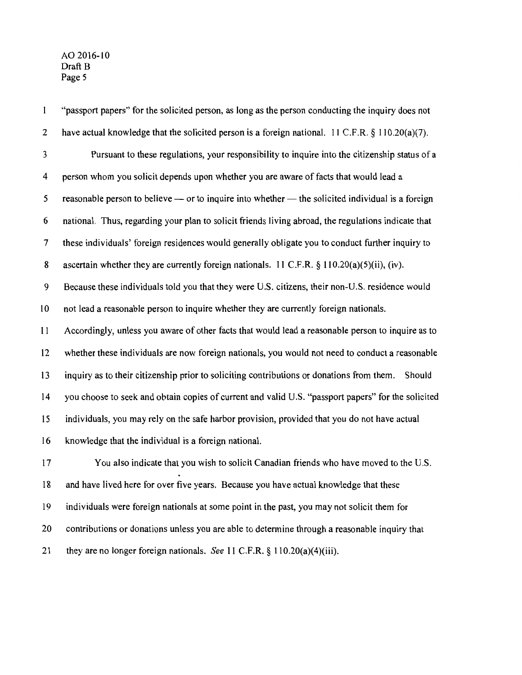$\mathbf{1}$ "passport papers" for the solicited person, as long as the person conducting the inquiry does not 2 have actual knowledge that the solicited person is a foreign national. 11 C.F.R. § 110.20(a)(7). 3 Pursuant to these regulations, your responsibility to inquire into the citizenship status of a 4 person whom you solicit depends upon whether you are aware of facts that would lead a 5 reasonable person to believe  $\rightarrow$  or to inquire into whether  $\rightarrow$  the solicited individual is a foreign 6 national. Thus, regarding your plan to solicit friends living abroad, the regulations indicate that 7 these individuals' foreign residences would generally obligate you to conduct further inquiry to 8 ascertain whether they are currently foreign nationals. 11 C.F.R.  $\S$  110.20(a)(5)(ii), (iv). 9 Because these individuals told you that they were U.S. citizens, their non-U.S. residence would 10 not lead a reasonable person to inquire whether they are currently foreign nationals. 11 Accordingly, unless you aware of other facts that would lead a reasonable person to inquire as to 12 whether these individuals are now foreign nationals, you would not need to conduct a reasonable 13 inquiry as to their citizenship prior to soliciting contributions or donations from them. Should 14 you choose to seek and obtain copies of current and valid U.S. "passport papers" for the solicited 15 individuals, you may rely on the safe harbor provision, provided that you do not have actual 16 knowledge that the individual is a foreign national. 17 You also indicate that you wish to solicit Canadian friends who have moved to the U.S. 18 and have lived here for over five years. Because you have actual knowledge that these 19 individuals were foreign nationals at some point in the past, you may not solicit them for 20 contributions or donations unless you are able to determine through a reasonable inquiry that 21 they are no longer foreign nationals. *See* 11 C.P.R.§ 110.20(a)(4)(iii).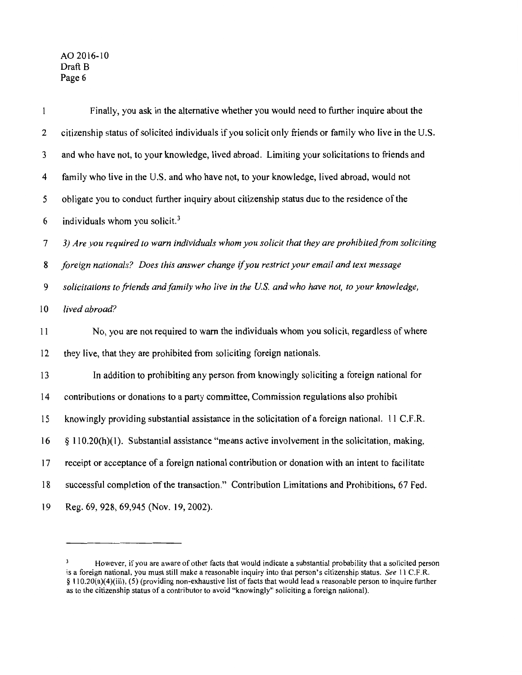| $\mathbf{1}$            | Finally, you ask in the alternative whether you would need to further inquire about the                |
|-------------------------|--------------------------------------------------------------------------------------------------------|
| 2                       | citizenship status of solicited individuals if you solicit only friends or family who live in the U.S. |
| 3                       | and who have not, to your knowledge, lived abroad. Limiting your solicitations to friends and          |
| $\overline{\mathbf{4}}$ | family who live in the U.S. and who have not, to your knowledge, lived abroad, would not               |
| 5                       | obligate you to conduct further inquiry about citizenship status due to the residence of the           |
| 6                       | individuals whom you solicit. <sup>3</sup>                                                             |
| 7                       | 3) Are you required to warn individuals whom you solicit that they are prohibited from soliciting      |
| 8                       | foreign nationals? Does this answer change if you restrict your email and text message                 |
| 9                       | solicitations to friends and family who live in the U.S. and who have not, to your knowledge,          |
| 10                      | lived abroad?                                                                                          |
| 11                      | No, you are not required to warn the individuals whom you solicit, regardless of where                 |
| 12                      | they live, that they are prohibited from soliciting foreign nationals.                                 |
| 13                      | In addition to prohibiting any person from knowingly soliciting a foreign national for                 |
| 14                      | contributions or donations to a party committee, Commission regulations also prohibit                  |
| 15                      | knowingly providing substantial assistance in the solicitation of a foreign national. 11 C.F.R.        |
| 16                      | § 110.20(h)(1). Substantial assistance "means active involvement in the solicitation, making,          |
| 17                      | receipt or acceptance of a foreign national contribution or donation with an intent to facilitate      |
| 18                      | successful completion of the transaction." Contribution Limitations and Prohibitions, 67 Fed.          |
| 19                      | Reg. 69, 928, 69, 945 (Nov. 19, 2002).                                                                 |

However, if you are aware of other facts that would indicate a substantial probability that a solicited person is a foreign national, you must still make a reasonable inquiry into that person's citizenship status. *See* 11 C.F.R. § 110.20(a)(4)(iii), (5) (providing non-exhaustive list of facts that would lead a reasonable person to inquire further as to the citizenship status of a contributor to avoid "knowingly" soliciting a foreign national).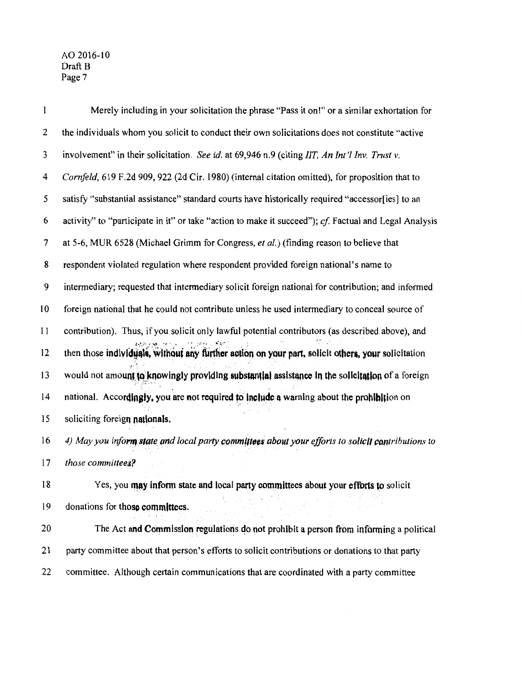| $\mathbf{1}$ | Merely including in your solicitation the phrase "Pass it on!" or a similar exhortation for           |
|--------------|-------------------------------------------------------------------------------------------------------|
| 2            | the individuals whom you solicit to conduct their own solicitations does not constitute "active"      |
| 3            | involvement" in their solicitation. See id. at 69,946 n.9 (citing IIT, An Int'l Inv. Trust v.         |
| 4            | Cornfeld, 619 F.2d 909, 922 (2d Cir. 1980) (internal citation omitted), for proposition that to       |
| 5            | satisfy "substantial assistance" standard courts have historically required "accessor[ies] to an      |
| 6            | activity" to "participate in it" or take "action to make it succeed"); cf. Factual and Legal Analysis |
| 7            | at 5-6, MUR 6528 (Michael Grimm for Congress, et al.) (finding reason to believe that                 |
| 8            | respondent violated regulation where respondent provided foreign national's name to                   |
| 9            | intermediary; requested that intermediary solicit foreign national for contribution; and informed     |
| 10           | foreign national that he could not contribute unless he used intermediary to conceal source of        |
| 11           | contribution). Thus, if you solicit only lawful potential contributors (as described above), and      |
| 12           | then those individuals, without any further action on your part, solicit others, your solicitation    |
| 13           | would not amount to knowingly providing substantial assistance in the solicitation of a foreign       |
| 14           | national. Accordingly, you are not required to include a warning about the prohibition on             |
| 15           | soliciting foreign nationals.                                                                         |
| 16           | 4) May you inform state and local party committees about your efforts to solicit contributions to     |
| 17           | those committees?                                                                                     |
| 18           | Yes, you may inform state and local party committees about your efforts to solicit                    |
| 19           | donations for those committees.                                                                       |
| 20           | The Act and Commission regulations do not prohibit a person from informing a political                |
| 21           | party committee about that person's efforts to solicit contributions or donations to that party       |
| 22           | committee. Although certain communications that are coordinated with a party committee                |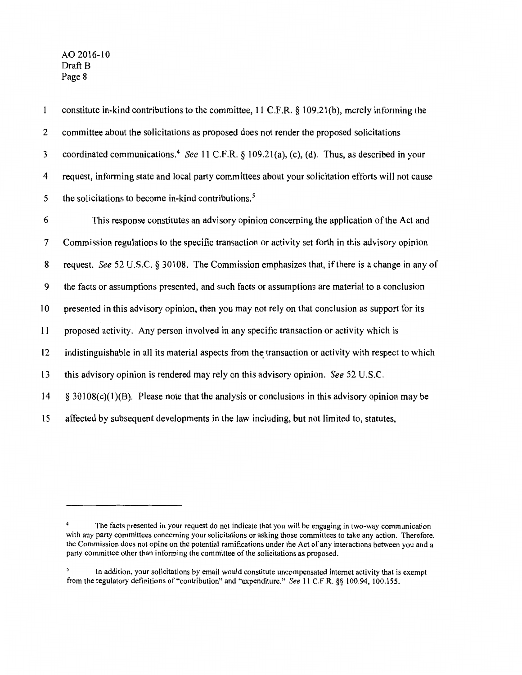AO 20I6-IO Draft B Page 8

 $\mathbf{1}$ constitute in-kind contributions to the committee, II C.F.R. § I09.2I(b), merely infonning the 2 committee about the solicitations as proposed does not render the proposed solicitations 3 coordinated communications.<sup>4</sup>*See* II C.F.R. § I09.2I(a), (c), (d). Thus, as described in your 4 request, infonning state and local party committees about your solicitation efforts will not cause 5 the solicitations to become in-kind contributions. *<sup>5</sup>* 6 This response constitutes an advisory opinion concerning the application of the Act and 7 Commission regulations to the specific transaction or activity set forth in this advisory opinion 8 request. *See* 52 U.S.C. § 30108. The Commission emphasizes that, if there is a change in any of 9 the facts or assumptions presented, and such facts or assumptions are material to a conclusion 10 presented in this advisory opinion, then you may not rely on that conclusion as support for its II proposed activity. Any person involved in any specific transaction or activity which is 12 indistinguishable in all its material aspects from the transaction or activity with respect to which

I3 this advisory opinion is rendered may rely on this advisory opinion. *See* 52 U.S.C.

 $14 \leq 30108(c)(1)(B)$ . Please note that the analysis or conclusions in this advisory opinion may be

I5 affected by subsequent developments in the law including, but not limited to, statutes,

The facts presented in your request do not indicate that you will be engaging in two-way communication with any party committees concerning your solicitations or asking those committees to take any action. Therefore, the Commission does not opine on the potential ramifications under the Act of any interactions between you and a party committee other than informing the committee of the solicitations as proposed.

In addition, your solicitations by email would constitute uncompensated internet activity that is exempt from the regulatory definitions of"contribution" and "expenditure." *See* 11 C.F.R. §§ 100.94, 100.155.